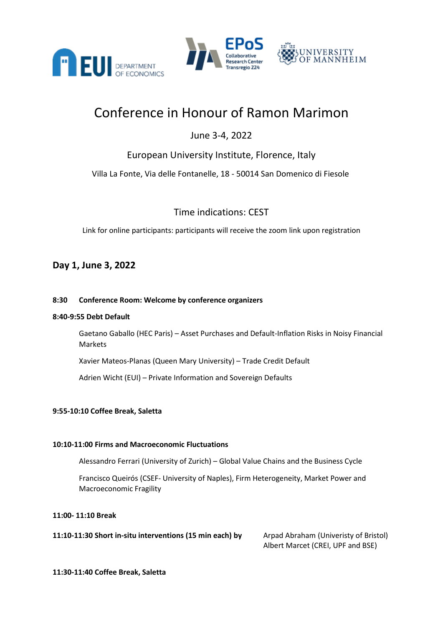



# JNIVERSITY OF MANNHEIM

# Conference in Honour of Ramon Marimon

# June 3-4, 2022

# European University Institute, Florence, Italy

Villa La Fonte, Via delle Fontanelle, 18 - 50014 San Domenico di Fiesole

Time indications: CEST

Link for online participants: participants will receive the zoom link upon registration

### **Day 1, June 3, 2022**

#### **8:30 Conference Room: Welcome by conference organizers**

#### **8:40-9:55 Debt Default**

Gaetano Gaballo (HEC Paris) – Asset Purchases and Default-Inflation Risks in Noisy Financial Markets

Xavier Mateos-Planas (Queen Mary University) – Trade Credit Default

Adrien Wicht (EUI) – Private Information and Sovereign Defaults

#### **9:55-10:10 Coffee Break, Saletta**

#### **10:10-11:00 Firms and Macroeconomic Fluctuations**

Alessandro Ferrari (University of Zurich) – Global Value Chains and the Business Cycle

Francisco Queirós (CSEF- University of Naples), Firm Heterogeneity, Market Power and Macroeconomic Fragility

#### **11:00- 11:10 Break**

**11:10-11:30 Short in-situ interventions (15 min each) by** Arpad Abraham (Univeristy of Bristol)

Albert Marcet (CREI, UPF and BSE)

**11:30-11:40 Coffee Break, Saletta**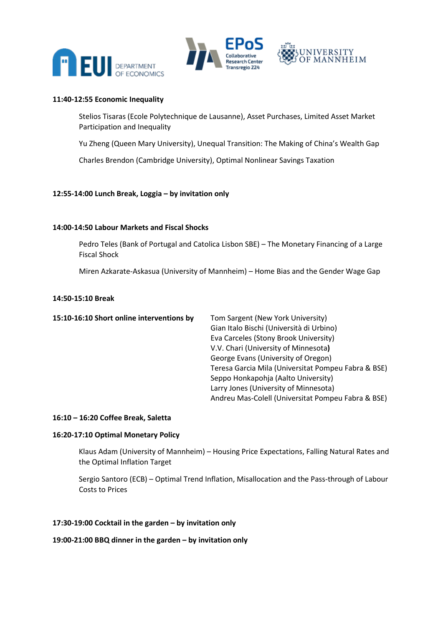



#### **11:40-12:55 Economic Inequality**

Stelios Tisaras (Ecole Polytechnique de Lausanne), Asset Purchases, Limited Asset Market Participation and Inequality

Yu Zheng (Queen Mary University), Unequal Transition: The Making of China's Wealth Gap

Charles Brendon (Cambridge University), Optimal Nonlinear Savings Taxation

#### **12:55-14:00 Lunch Break, Loggia – by invitation only**

#### **14:00-14:50 Labour Markets and Fiscal Shocks**

Pedro Teles (Bank of Portugal and Catolica Lisbon SBE) – The Monetary Financing of a Large Fiscal Shock

Miren Azkarate-Askasua (University of Mannheim) – Home Bias and the Gender Wage Gap

#### **14:50-15:10 Break**

| Tom Sargent (New York University)                   |
|-----------------------------------------------------|
| Gian Italo Bischi (Università di Urbino)            |
| Eva Carceles (Stony Brook University)               |
| V.V. Chari (University of Minnesota)                |
| George Evans (University of Oregon)                 |
| Teresa Garcia Mila (Universitat Pompeu Fabra & BSE) |
| Seppo Honkapohja (Aalto University)                 |
| Larry Jones (University of Minnesota)               |
| Andreu Mas-Colell (Universitat Pompeu Fabra & BSE)  |
|                                                     |

#### **16:10 – 16:20 Coffee Break, Saletta**

#### **16:20-17:10 Optimal Monetary Policy**

Klaus Adam (University of Mannheim) – Housing Price Expectations, Falling Natural Rates and the Optimal Inflation Target

Sergio Santoro (ECB) – Optimal Trend Inflation, Misallocation and the Pass-through of Labour Costs to Prices

#### **17:30-19:00 Cocktail in the garden – by invitation only**

**19:00-21:00 BBQ dinner in the garden – by invitation only**